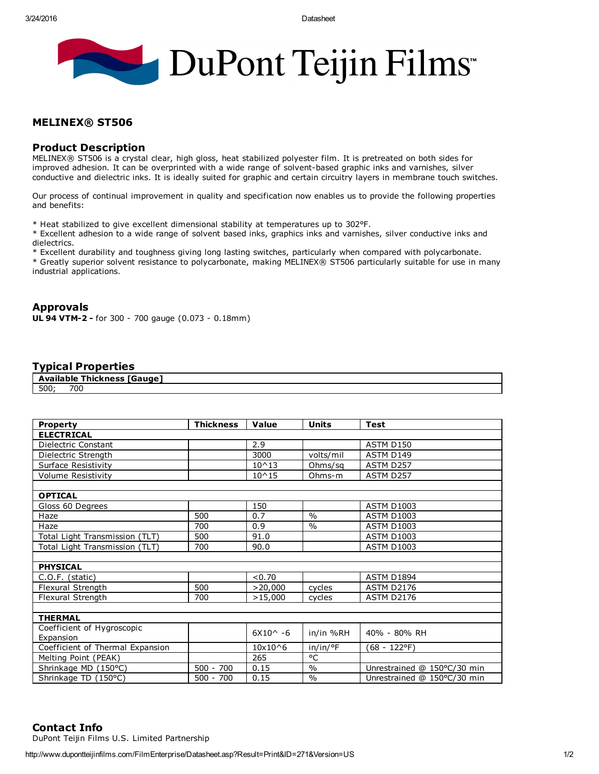

## MELINEX® ST506

## Product Description

MELINEX® ST506 is a crystal clear, high gloss, heat stabilized polyester film. It is pretreated on both sides for improved adhesion. It can be overprinted with a wide range of solvent-based graphic inks and varnishes, silver conductive and dielectric inks. It is ideally suited for graphic and certain circuitry layers in membrane touch switches.

Our process of continual improvement in quality and specification now enables us to provide the following properties and benefits:

\* Heat stabilized to give excellent dimensional stability at temperatures up to 302°F.

\* Excellent adhesion to a wide range of solvent based inks, graphics inks and varnishes, silver conductive inks and dielectrics.

\* Excellent durability and toughness giving long lasting switches, particularly when compared with polycarbonate. \* Greatly superior solvent resistance to polycarbonate, making MELINEX® ST506 particularly suitable for use in many industrial applications.

# Approvals

UL 94 VTM-2 - for 300 - 700 gauge (0.073 - 0.18mm)

## Typical Properties

|      | ailable | Gauge<br><b>Thickness</b><br>. |  |  |  |
|------|---------|--------------------------------|--|--|--|
| 500; | 700     |                                |  |  |  |

| <b>Property</b>                  | <b>Thickness</b> | Value              | <b>Units</b>  | Test                        |  |  |  |  |  |  |
|----------------------------------|------------------|--------------------|---------------|-----------------------------|--|--|--|--|--|--|
| <b>ELECTRICAL</b>                |                  |                    |               |                             |  |  |  |  |  |  |
| Dielectric Constant              |                  | 2.9                |               | ASTM D150                   |  |  |  |  |  |  |
| Dielectric Strength              |                  | 3000               | volts/mil     | ASTM D149                   |  |  |  |  |  |  |
| Surface Resistivity              |                  | $10^{\wedge}13$    | Ohms/sq       | ASTM D257                   |  |  |  |  |  |  |
| Volume Resistivity               |                  | $10^{\circ}15$     | Ohms-m        | ASTM D257                   |  |  |  |  |  |  |
|                                  |                  |                    |               |                             |  |  |  |  |  |  |
| <b>OPTICAL</b>                   |                  |                    |               |                             |  |  |  |  |  |  |
| Gloss 60 Degrees                 | 500              | 150<br>0.7         | $\frac{0}{0}$ | <b>ASTM D1003</b>           |  |  |  |  |  |  |
| Haze                             |                  |                    |               | <b>ASTM D1003</b>           |  |  |  |  |  |  |
| Haze                             | 700              | 0.9                | $\frac{0}{0}$ | <b>ASTM D1003</b>           |  |  |  |  |  |  |
| Total Light Transmission (TLT)   | 500              | 91.0               |               | <b>ASTM D1003</b>           |  |  |  |  |  |  |
| Total Light Transmission (TLT)   | 700              | 90.0               |               | <b>ASTM D1003</b>           |  |  |  |  |  |  |
| <b>PHYSICAL</b>                  |                  |                    |               |                             |  |  |  |  |  |  |
| $C.O.F.$ (static)                |                  | < 0.70             |               | <b>ASTM D1894</b>           |  |  |  |  |  |  |
| Flexural Strength                | 500              | >20,000            | cycles        | <b>ASTM D2176</b>           |  |  |  |  |  |  |
| Flexural Strength                | 700              | >15,000            | cycles        | <b>ASTM D2176</b>           |  |  |  |  |  |  |
|                                  |                  |                    |               |                             |  |  |  |  |  |  |
| <b>THERMAL</b>                   |                  |                    |               |                             |  |  |  |  |  |  |
| Coefficient of Hygroscopic       |                  | $6X10^{\wedge} -6$ | in/in %RH     | 40% - 80% RH                |  |  |  |  |  |  |
| Expansion                        |                  |                    |               |                             |  |  |  |  |  |  |
| Coefficient of Thermal Expansion |                  | 10x10^6            | in/in/°F      | (68 - 122°F)                |  |  |  |  |  |  |
| Melting Point (PEAK)             |                  | 265                | °C            |                             |  |  |  |  |  |  |
| Shrinkage MD (150°C)             | $500 - 700$      | 0.15               | $\frac{0}{0}$ | Unrestrained @ 150°C/30 min |  |  |  |  |  |  |
| Shrinkage TD (150°C)             | $500 - 700$      | 0.15               | $\frac{0}{0}$ | Unrestrained @ 150°C/30 min |  |  |  |  |  |  |